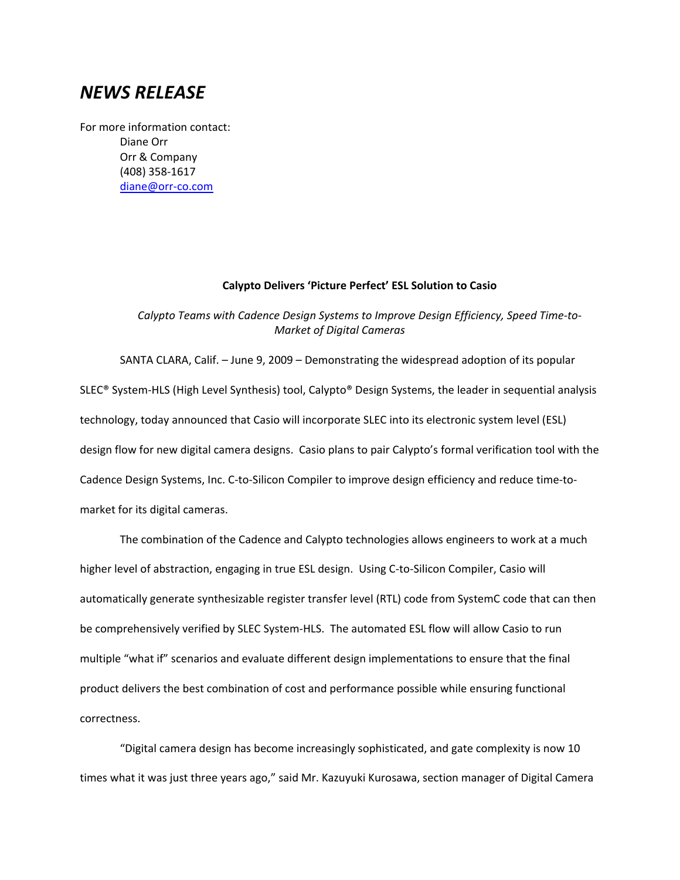## *NEWS RELEASE*

For more information contact: Diane Orr Orr & Company (408) 358‐1617 diane@orr‐co.com

## **Calypto Delivers 'Picture Perfect' ESL Solution to Casio**

*Calypto Teams with Cadence Design Systems to Improve Design Efficiency, Speed Time‐to‐ Market of Digital Cameras* 

SANTA CLARA, Calif. – June 9, 2009 – Demonstrating the widespread adoption of its popular SLEC® System‐HLS (High Level Synthesis) tool, Calypto® Design Systems, the leader in sequential analysis technology, today announced that Casio will incorporate SLEC into its electronic system level (ESL) design flow for new digital camera designs. Casio plans to pair Calypto's formal verification tool with the Cadence Design Systems, Inc. C‐to‐Silicon Compiler to improve design efficiency and reduce time‐to‐ market for its digital cameras.

The combination of the Cadence and Calypto technologies allows engineers to work at a much higher level of abstraction, engaging in true ESL design. Using C-to-Silicon Compiler, Casio will automatically generate synthesizable register transfer level (RTL) code from SystemC code that can then be comprehensively verified by SLEC System-HLS. The automated ESL flow will allow Casio to run multiple "what if" scenarios and evaluate different design implementations to ensure that the final product delivers the best combination of cost and performance possible while ensuring functional correctness.

"Digital camera design has become increasingly sophisticated, and gate complexity is now 10 times what it was just three years ago," said Mr. Kazuyuki Kurosawa, section manager of Digital Camera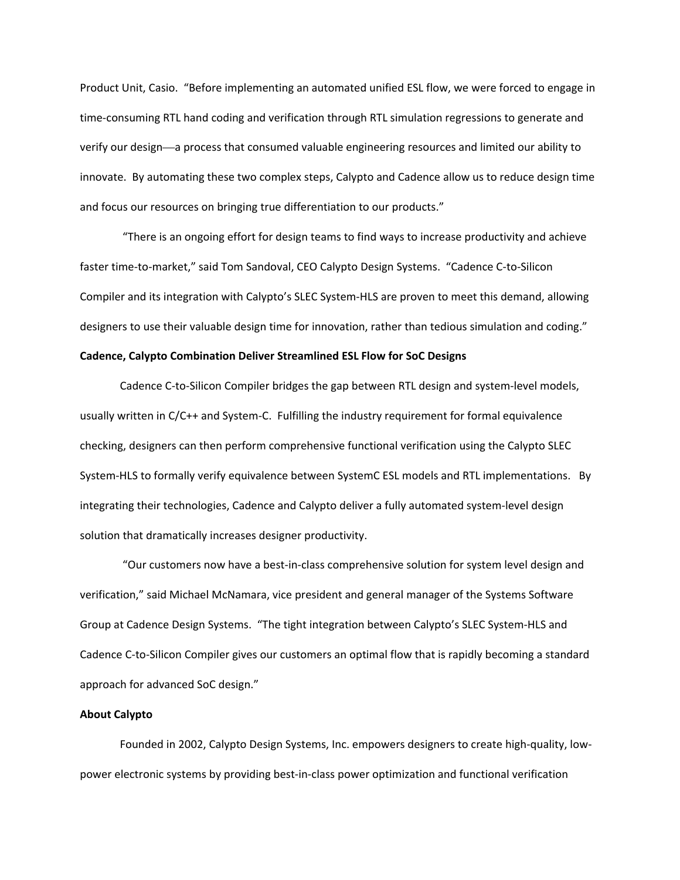Product Unit, Casio. "Before implementing an automated unified ESL flow, we were forced to engage in time‐consuming RTL hand coding and verification through RTL simulation regressions to generate and verify our design––a process that consumed valuable engineering resources and limited our ability to innovate. By automating these two complex steps, Calypto and Cadence allow us to reduce design time and focus our resources on bringing true differentiation to our products."

"There is an ongoing effort for design teams to find ways to increase productivity and achieve faster time‐to‐market," said Tom Sandoval, CEO Calypto Design Systems. "Cadence C‐to‐Silicon Compiler and its integration with Calypto's SLEC System‐HLS are proven to meet this demand, allowing designers to use their valuable design time for innovation, rather than tedious simulation and coding."

## **Cadence, Calypto Combination Deliver Streamlined ESL Flow for SoC Designs**

Cadence C‐to‐Silicon Compiler bridges the gap between RTL design and system‐level models, usually written in C/C++ and System-C. Fulfilling the industry requirement for formal equivalence checking, designers can then perform comprehensive functional verification using the Calypto SLEC System‐HLS to formally verify equivalence between SystemC ESL models and RTL implementations. By integrating their technologies, Cadence and Calypto deliver a fully automated system‐level design solution that dramatically increases designer productivity.

"Our customers now have a best‐in‐class comprehensive solution for system level design and verification," said Michael McNamara, vice president and general manager of the Systems Software Group at Cadence Design Systems. "The tight integration between Calypto's SLEC System‐HLS and Cadence C‐to‐Silicon Compiler gives our customers an optimal flow that is rapidly becoming a standard approach for advanced SoC design."

## **About Calypto**

Founded in 2002, Calypto Design Systems, Inc. empowers designers to create high‐quality, low‐ power electronic systems by providing best‐in‐class power optimization and functional verification